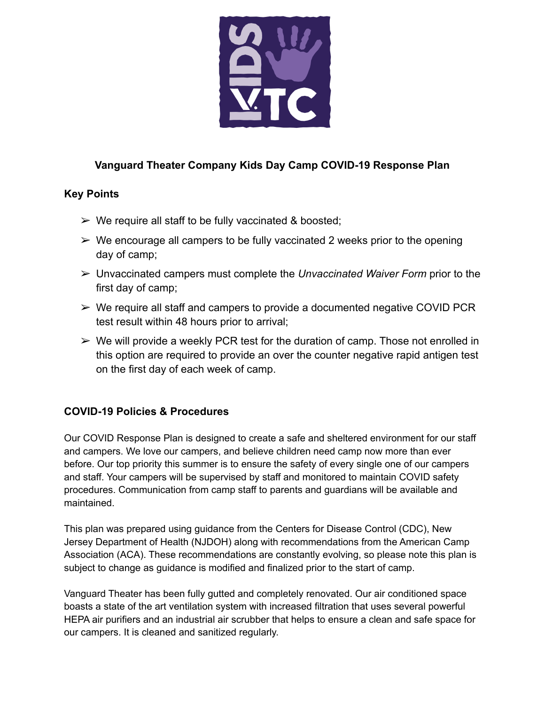

# **Vanguard Theater Company Kids Day Camp COVID-19 Response Plan**

### **Key Points**

- $\triangleright$  We require all staff to be fully vaccinated & boosted;
- $\triangleright$  We encourage all campers to be fully vaccinated 2 weeks prior to the opening day of camp;
- ➢ Unvaccinated campers must complete the *Unvaccinated Waiver Form* prior to the first day of camp;
- $\triangleright$  We require all staff and campers to provide a documented negative COVID PCR test result within 48 hours prior to arrival;
- $\triangleright$  We will provide a weekly PCR test for the duration of camp. Those not enrolled in this option are required to provide an over the counter negative rapid antigen test on the first day of each week of camp.

# **COVID-19 Policies & Procedures**

Our COVID Response Plan is designed to create a safe and sheltered environment for our staff and campers. We love our campers, and believe children need camp now more than ever before. Our top priority this summer is to ensure the safety of every single one of our campers and staff. Your campers will be supervised by staff and monitored to maintain COVID safety procedures. Communication from camp staff to parents and guardians will be available and maintained.

This plan was prepared using guidance from the Centers for Disease Control (CDC), New Jersey Department of Health (NJDOH) along with recommendations from the American Camp Association (ACA). These recommendations are constantly evolving, so please note this plan is subject to change as guidance is modified and finalized prior to the start of camp.

Vanguard Theater has been fully gutted and completely renovated. Our air conditioned space boasts a state of the art ventilation system with increased filtration that uses several powerful HEPA air purifiers and an industrial air scrubber that helps to ensure a clean and safe space for our campers. It is cleaned and sanitized regularly.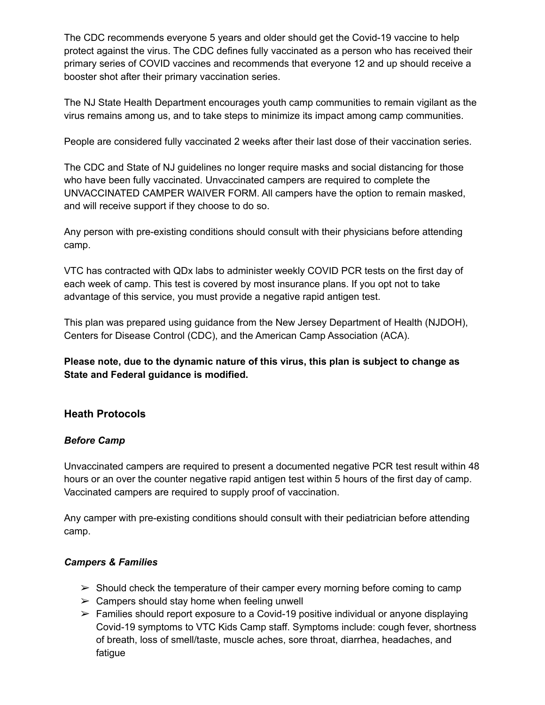The CDC recommends everyone 5 years and older should get the Covid-19 vaccine to help protect against the virus. The CDC defines fully vaccinated as a person who has received their primary series of COVID vaccines and recommends that everyone 12 and up should receive a booster shot after their primary vaccination series.

The NJ State Health Department encourages youth camp communities to remain vigilant as the virus remains among us, and to take steps to minimize its impact among camp communities.

People are considered fully vaccinated 2 weeks after their last dose of their vaccination series.

The CDC and State of NJ guidelines no longer require masks and social distancing for those who have been fully vaccinated. Unvaccinated campers are required to complete the UNVACCINATED CAMPER WAIVER FORM. All campers have the option to remain masked, and will receive support if they choose to do so.

Any person with pre-existing conditions should consult with their physicians before attending camp.

VTC has contracted with QDx labs to administer weekly COVID PCR tests on the first day of each week of camp. This test is covered by most insurance plans. If you opt not to take advantage of this service, you must provide a negative rapid antigen test.

This plan was prepared using guidance from the New Jersey Department of Health (NJDOH), Centers for Disease Control (CDC), and the American Camp Association (ACA).

**Please note, due to the dynamic nature of this virus, this plan is subject to change as State and Federal guidance is modified.**

# **Heath Protocols**

#### *Before Camp*

Unvaccinated campers are required to present a documented negative PCR test result within 48 hours or an over the counter negative rapid antigen test within 5 hours of the first day of camp. Vaccinated campers are required to supply proof of vaccination.

Any camper with pre-existing conditions should consult with their pediatrician before attending camp.

#### *Campers & Families*

- $\triangleright$  Should check the temperature of their camper every morning before coming to camp
- $\triangleright$  Campers should stay home when feeling unwell
- $\triangleright$  Families should report exposure to a Covid-19 positive individual or anyone displaying Covid-19 symptoms to VTC Kids Camp staff. Symptoms include: cough fever, shortness of breath, loss of smell/taste, muscle aches, sore throat, diarrhea, headaches, and fatigue